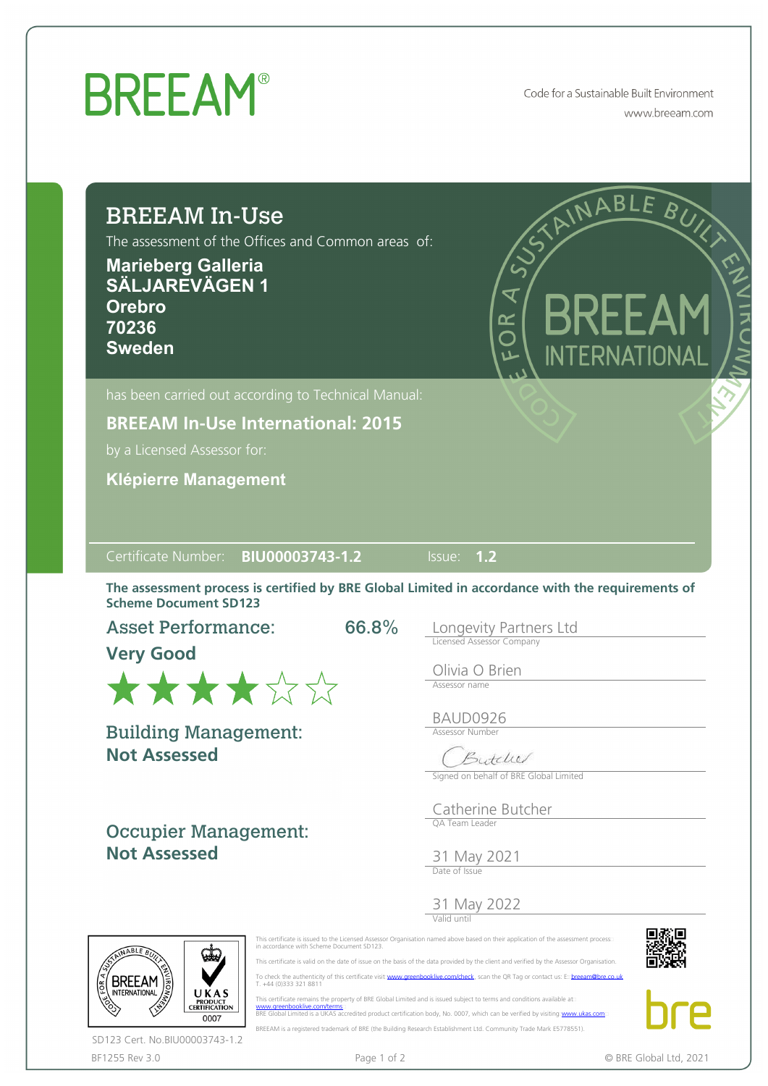## **BREEAM®**

Code for a Sustainable Built Environment www.breeam.com

| The assessment of the Offices and Common areas of:<br><b>Marieberg Galleria</b><br><b>SÄLJAREVÄGEN 1</b><br><b>Orebro</b><br>70236<br><b>Sweden</b>                                            |                                                | STAINABLE BUIL<br>$\overline{\mathbf{x}}$<br><b>BRFFA</b><br>K<br>O<br>INTERNATIONAL |
|------------------------------------------------------------------------------------------------------------------------------------------------------------------------------------------------|------------------------------------------------|--------------------------------------------------------------------------------------|
| has been carried out according to Technical Manual:<br><b>BREEAM In-Use International: 2015</b><br>by a Licensed Assessor for:<br><b>Klépierre Management</b>                                  |                                                |                                                                                      |
|                                                                                                                                                                                                |                                                |                                                                                      |
| BIU00003743-1.2                                                                                                                                                                                | Issue:                                         | 1.2                                                                                  |
| Certificate Number:<br>The assessment process is certified by BRE Global Limited in accordance with the requirements of<br><b>Scheme Document SD123</b><br><b>Asset Performance:</b><br>****** | 66.8%<br>Olivia O Brien<br>Assessor name       | Longevity Partners Ltd<br><b>Licensed Assessor Company</b>                           |
| <b>Building Management:</b><br><b>Not Assessed</b>                                                                                                                                             | BAUD0926<br><b>Assessor Number</b>             | Butcher<br>Signed on behalf of BRE Global Limited                                    |
| <b>Very Good</b><br><b>Occupier Management:</b><br><b>Not Assessed</b>                                                                                                                         | OA Team Leader<br>31 May 2021<br>Date of Issue | Catherine Butcher                                                                    |







EN 18

UKAS<br>PRODUCT<br>CERTIFICATION

0007

**BREEAM** 

This certificate remains the property of BRE Global Limited and is issued subject to terms and conditions available at:<br>[www.greenbooklive.com/terms](http://www.greenbooklive.com/terms)...<br>BRE Global Limited is a UKAS accredited product certification body, No.

BREEAM is a registered trademark of BRE (the Building Research Establishment Ltd. Community Trade Mark E5778551).